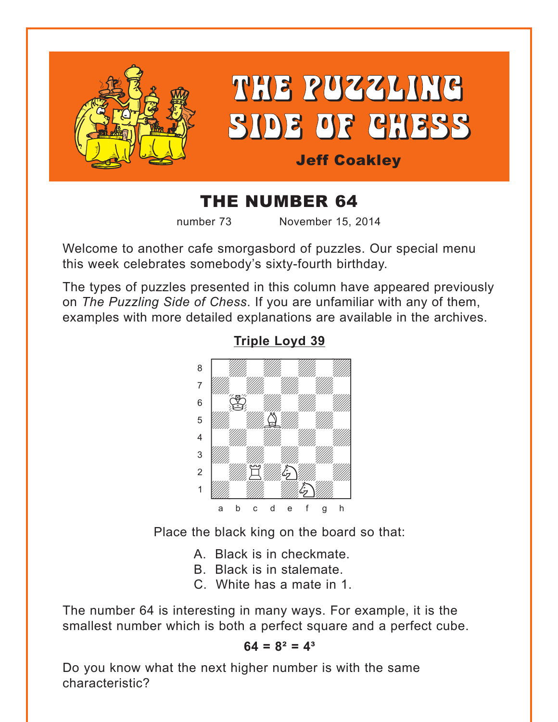<span id="page-0-0"></span>

# THE NUMBER 64

number 73 November 15, 2014

Welcome to another cafe smorgasbord of puzzles. Our special menu this week celebrates somebody's sixty-fourth birthday.

The types of puzzles presented in this column have appeared previously on *The Puzzling Side of Chess*. If you are unfamiliar with any of them, examples with more detailed explanations are available in the archives.



**[Triple Loyd 39](#page-6-0)**

Place the black king on the board so that:

- A. Black is in checkmate.
- B. Black is in stalemate.
- C. White has a mate in 1.

The number 64 is interesting in many ways. For example, it is the smallest number which is both a perfect square and a perfect cube.

## $64 = 8^2 = 4^3$

Do you know what the next higher number is with the same characteristic?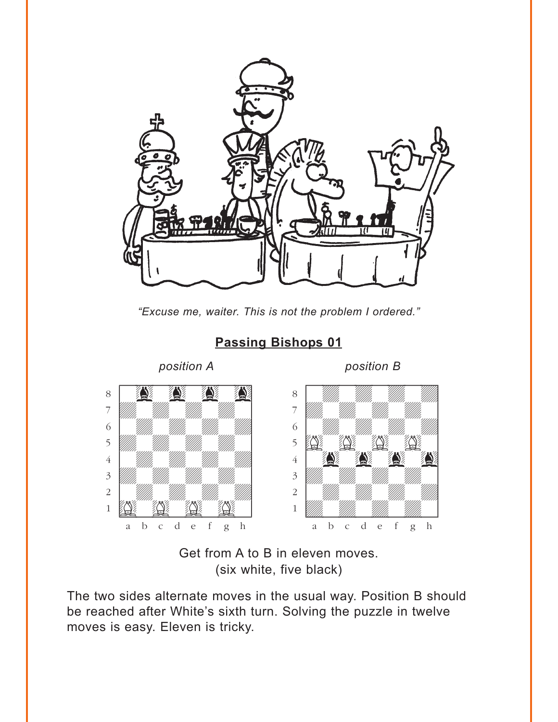<span id="page-1-0"></span>

*"Excuse me, waiter. This is not the problem I ordered."*



## **[Passing Bishops 01](#page-7-0)**

Get from A to B in eleven moves. (six white, five black)

The two sides alternate moves in the usual way. Position B should be reached after White's sixth turn. Solving the puzzle in twelve moves is easy. Eleven is tricky.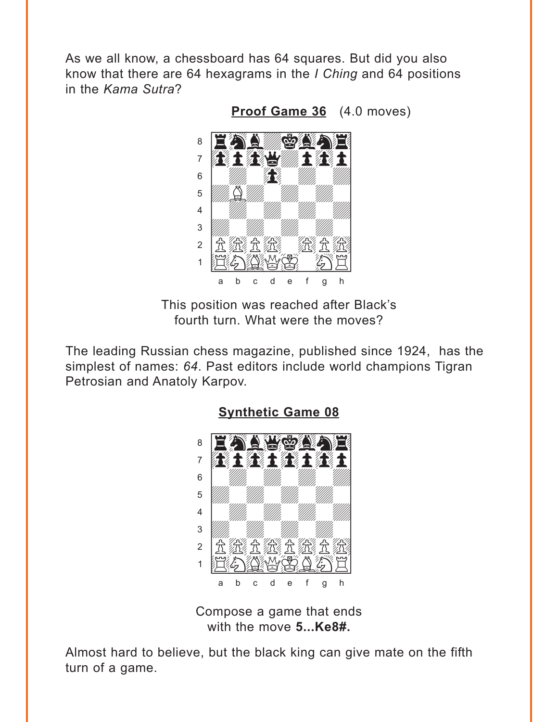<span id="page-2-0"></span>As we all know, a chessboard has 64 squares. But did you also know that there are 64 hexagrams in the *I Ching* and 64 positions in the Kama Sutra?

Proof Game 36 (4.0 moves)



This position was reached after Black's fourth turn. What were the moves?

The leading Russian chess magazine, published since 1924, has the simplest of names: 64. Past editors include world champions Tigran Petrosian and Anatoly Karpov.

**Synthetic Game 08** 



Compose a game that ends with the move 5... Ke8#.

Almost hard to believe, but the black king can give mate on the fifth turn of a game.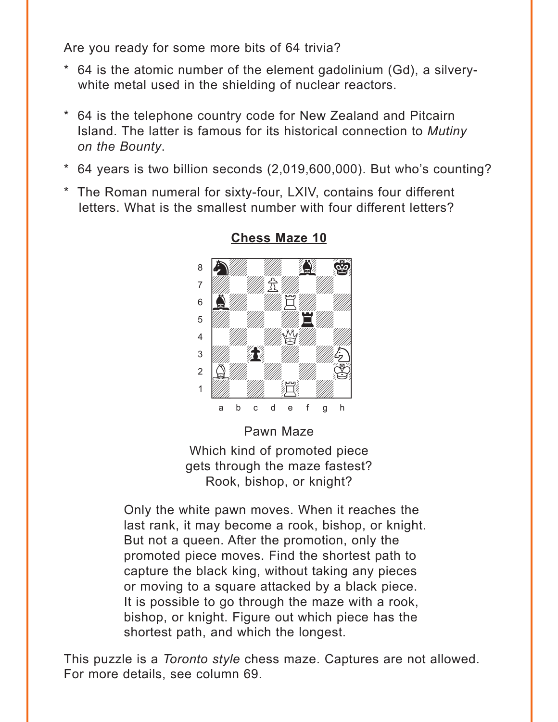<span id="page-3-0"></span>Are you ready for some more bits of 64 trivia?

- \* 64 is the atomic number of the element gadolinium (Gd), a silverywhite metal used in the shielding of nuclear reactors.
- \* 64 is the telephone country code for New Zealand and Pitcairn Island. The latter is famous for its historical connection to *Mutiny on the Bounty*.
- \* 64 years is two billion seconds (2,019,600,000). But who's counting?
- \* The Roman numeral for sixty-four, LXIV, contains four different letters. What is the smallest number with four different letters?



## **[Chess Maze 10](#page-9-0)**

Pawn Maze

Which kind of promoted piece gets through the maze fastest? Rook, bishop, or knight?

Only the white pawn moves. When it reaches the last rank, it may become a rook, bishop, or knight. But not a queen. After the promotion, only the promoted piece moves. Find the shortest path to capture the black king, without taking any pieces or moving to a square attacked by a black piece. It is possible to go through the maze with a rook, bishop, or knight. Figure out which piece has the shortest path, and which the longest.

This puzzle is a *Toronto style* chess maze. Captures are not allowed. For more details, see column 69.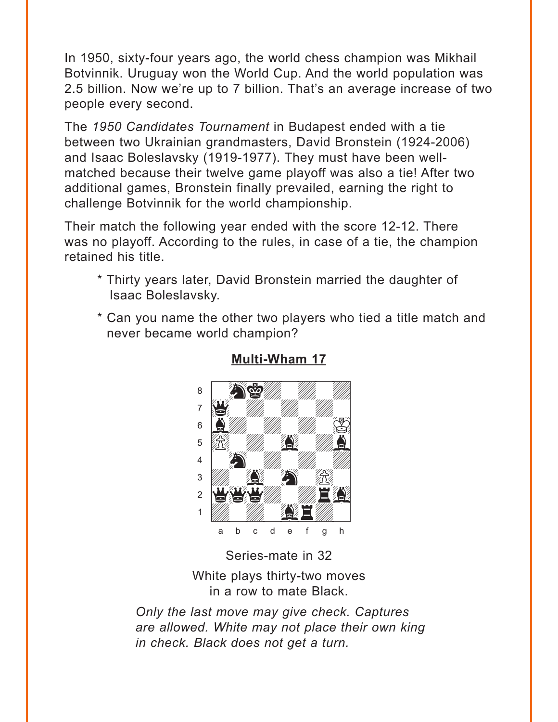<span id="page-4-0"></span>In 1950, sixty-four years ago, the world chess champion was Mikhail Botvinnik. Uruguay won the World Cup. And the world population was 2.5 billion. Now we're up to 7 billion. That's an average increase of two people every second.

The 1950 Candidates Tournament in Budapest ended with a tie between two Ukrainian grandmasters, David Bronstein (1924-2006) and Isaac Boleslavsky (1919-1977). They must have been wellmatched because their twelve game playoff was also a tie! After two additional games, Bronstein finally prevailed, earning the right to challenge Botvinnik for the world championship.

Their match the following year ended with the score 12-12. There was no playoff. According to the rules, in case of a tie, the champion retained his title.

- \* Thirty years later, David Bronstein married the daughter of Isaac Boleslavsky.
- \* Can you name the other two players who tied a title match and never became world champion?



#### **Multi-Wham 17**

Series-mate in 32

White plays thirty-two moves in a row to mate Black.

Only the last move may give check. Captures are allowed. White may not place their own king in check. Black does not get a turn.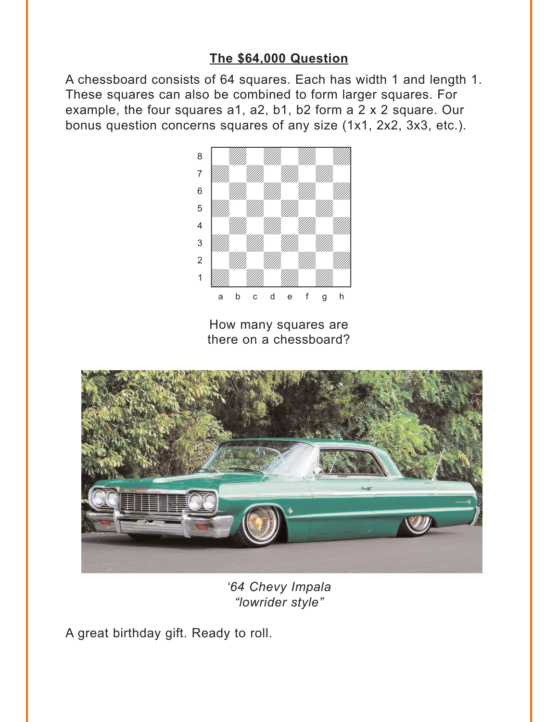## **[The \\$64,000 Question](#page-13-0)**

<span id="page-5-0"></span>A chessboard consists of 64 squares. Each has width 1 and length 1. These squares can also be combined to form larger squares. For example, the four squares a1, a2, b1, b2 form a 2 x 2 square. Our bonus question concerns squares of any size (1x1, 2x2, 3x3, etc.).



How many squares are there on a chessboard?



*'64 Chevy Impala "lowrider style"*

A great birthday gift. Ready to roll.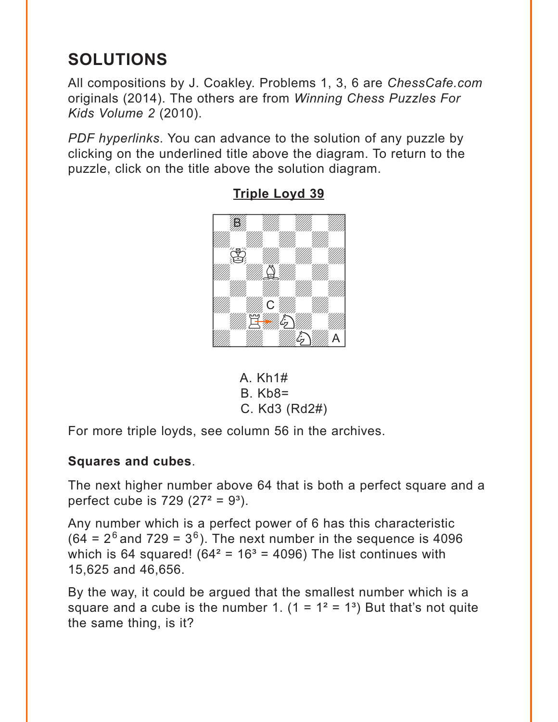# <span id="page-6-0"></span>**SOLUTIONS**

All compositions by J. Coakley. Problems 1, 3, 6 are *ChessCafe.com* originals (2014). The others are from *Winning Chess Puzzles For Kids Volume 2* (2010).

*PDF hyperlinks*. You can advance to the solution of any puzzle by clicking on the underlined title above the diagram. To return to the puzzle, click on the title above the solution diagram.



**[Triple Loyd 39](#page-0-0)**

A. Kh1# B. Kb8= C. Kd3 (Rd2#)

For more triple loyds, see column 56 in the archives.

## **Squares and cubes**.

The next higher number above 64 that is both a perfect square and a perfect cube is  $729 (27^2 = 9^3)$ .

Any number which is a perfect power of 6 has this characteristic  $(64 = 2<sup>6</sup>$  and 729 = 3<sup>6</sup>). The next number in the sequence is 4096 which is 64 squared! ( $64^2$  =  $16^3$  = 4096) The list continues with 15,625 and 46,656.

By the way, it could be argued that the smallest number which is a square and a cube is the number 1.  $(1 = 1^2 = 1^3)$  But that's not quite the same thing, is it?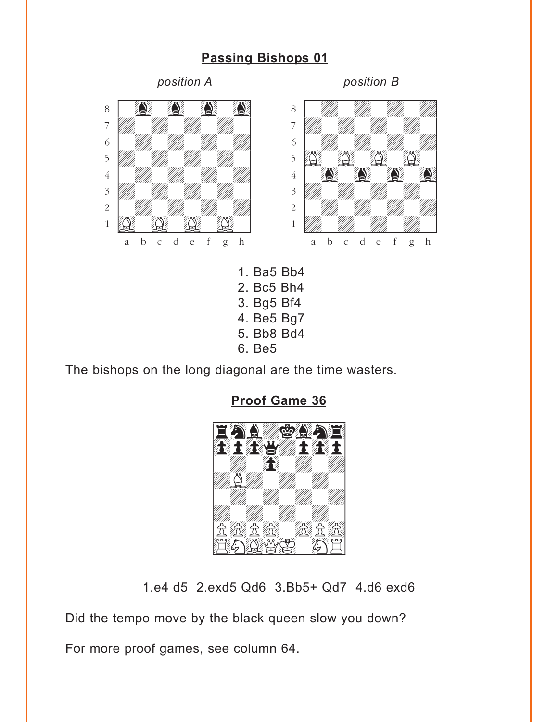## **[Passing Bishops 01](#page-1-0)**

<span id="page-7-0"></span>

6. Be5

The bishops on the long diagonal are the time wasters.



**[Proof Game 36](#page-2-0)**

1.e4 d5 2.exd5 Qd6 3.Bb5+ Qd7 4.d6 exd6

Did the tempo move by the black queen slow you down?

For more proof games, see column 64.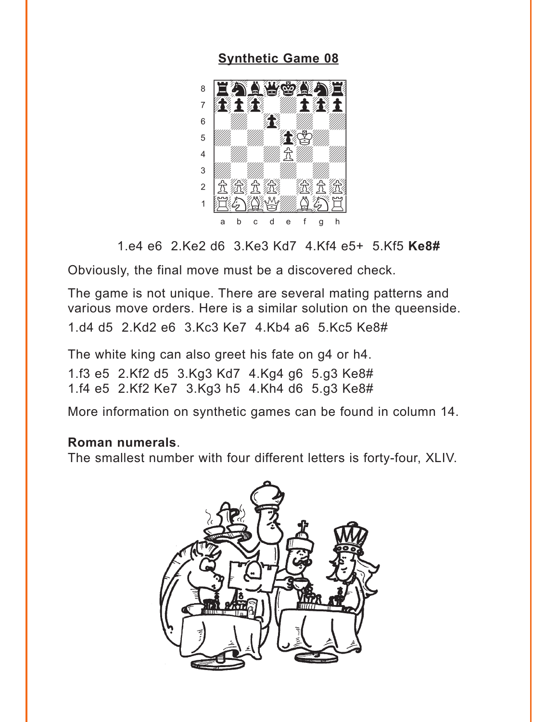## **Synthetic Game 08**

<span id="page-8-0"></span>

1.e4 e6 2.Ke2 d6 3.Ke3 Kd7 4.Kf4 e5+ 5.Kf5 Ke8#

Obviously, the final move must be a discovered check.

The game is not unique. There are several mating patterns and various move orders. Here is a similar solution on the queenside.

1.d4 d5 2.Kd2 e6 3.Kc3 Ke7 4.Kb4 a6 5.Kc5 Ke8#

The white king can also greet his fate on g4 or h4.

1.f3 e5 2.Kf2 d5 3.Kg3 Kd7 4.Kg4 g6 5.g3 Ke8# 1.f4 e5 2.Kf2 Ke7 3.Kg3 h5 4.Kh4 d6 5.g3 Ke8#

More information on synthetic games can be found in column 14.

#### Roman numerals

The smallest number with four different letters is forty-four, XLIV.

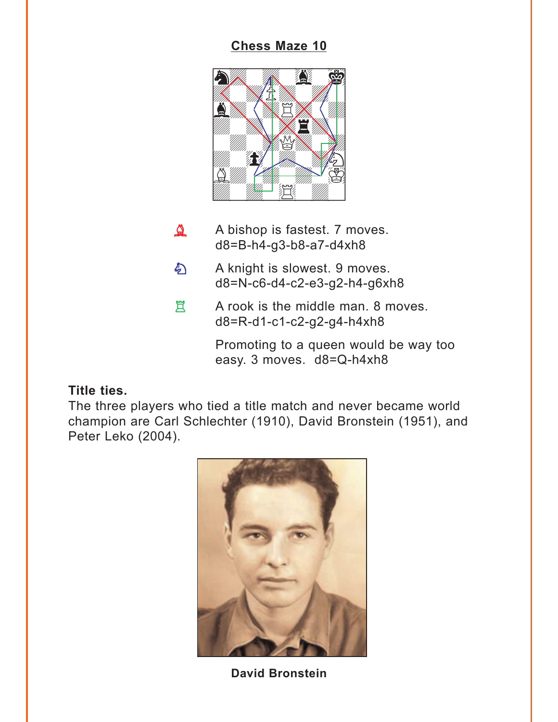## **[Chess Maze 10](#page-3-0)**

<span id="page-9-0"></span>

- A bishop is fastest. 7 moves. d8=B-h4-g3-b8-a7-d4xh8  $\Delta$
- A knight is slowest. 9 moves. d8=N-c6-d4-c2-e3-g2-h4-g6xh8  $\mathfrak{D}$
- A rook is the middle man. 8 moves. d8=R-d1-c1-c2-g2-g4-h4xh8 買

Promoting to a queen would be way too easy. 3 moves. d8=Q-h4xh8

## **Title ties.**

The three players who tied a title match and never became world champion are Carl Schlechter (1910), David Bronstein (1951), and Peter Leko (2004).



**David Bronstein**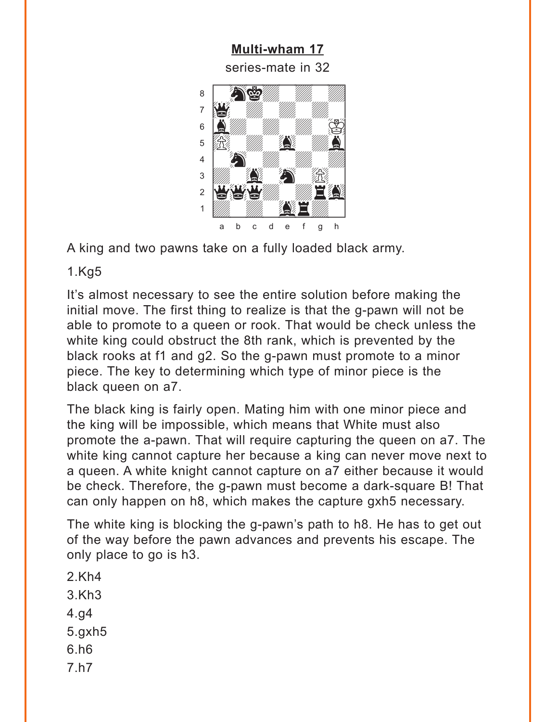**Multi-wham 17** series-mate in 32

<span id="page-10-0"></span>

A king and two pawns take on a fully loaded black army.

 $1.Kg5$ 

It's almost necessary to see the entire solution before making the initial move. The first thing to realize is that the g-pawn will not be able to promote to a queen or rook. That would be check unless the white king could obstruct the 8th rank, which is prevented by the black rooks at f1 and q2. So the q-pawn must promote to a minor piece. The key to determining which type of minor piece is the black queen on a7.

The black king is fairly open. Mating him with one minor piece and the king will be impossible, which means that White must also promote the a-pawn. That will require capturing the queen on a7. The white king cannot capture her because a king can never move next to a queen. A white knight cannot capture on a7 either because it would be check. Therefore, the g-pawn must become a dark-square B! That can only happen on h8, which makes the capture gxh5 necessary.

The white king is blocking the g-pawn's path to h8. He has to get out of the way before the pawn advances and prevents his escape. The only place to go is h3.

- $2.Kh4$
- $3.Kh3$
- $4.94$
- $5.9xh5$
- $6.h6$
- $7.h7$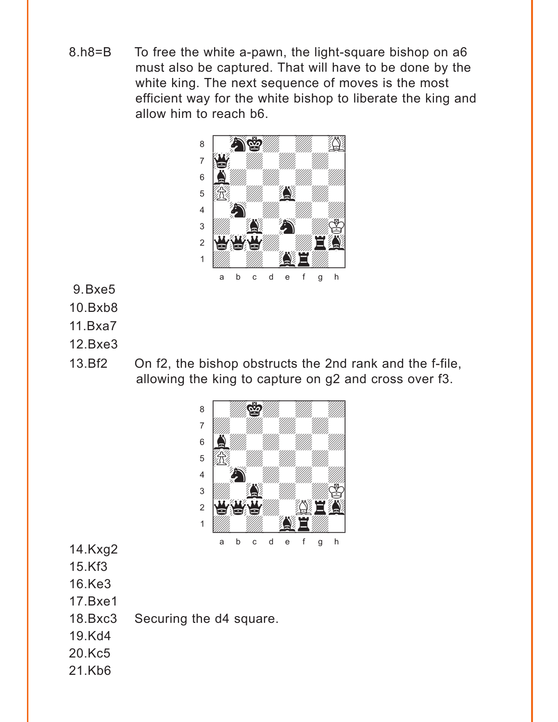8.h8=B To free the white a-pawn, the light-square bishop on a6 must also be captured. That will have to be done by the white king. The next sequence of moves is the most efficient way for the white bishop to liberate the king and allow him to reach b6.



- 9.Bxe5
- 10.Bxb8
- 11.Bxa7
- 12.Bxe3
- 13.Bf2 On f2, the bishop obstructs the 2nd rank and the f-file, allowing the king to capture on g2 and cross over f3.



- 14.Kxg2
- 15.Kf3
- 16.Ke3
- 17.Bxe1
- 18.Bxc3 Securing the d4 square.
- 19.Kd4
- 20.Kc5
- 21.Kb6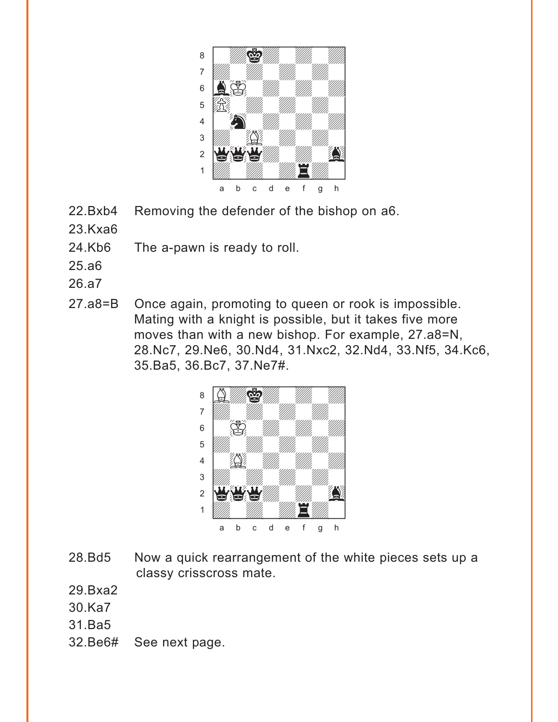

- 22.Bxb4 Removing the defender of the bishop on a6.
- 23.Kxa6
- 24.Kb6 The a-pawn is ready to roll.
- 25.a6
- 26.a7
- 27.a8=B Once again, promoting to queen or rook is impossible. Mating with a knight is possible, but it takes five more moves than with a new bishop. For example, 27.a8=N, 28.Nc7, 29.Ne6, 30.Nd4, 31.Nxc2, 32.Nd4, 33.Nf5, 34.Kc6, 35.Ba5, 36.Bc7, 37.Ne7#.



- 28.Bd5 Now a quick rearrangement of the white pieces sets up a classy crisscross mate.
- 29.Bxa2
- 30.Ka7
- 31.Ba5
- 32.Be6# See next page.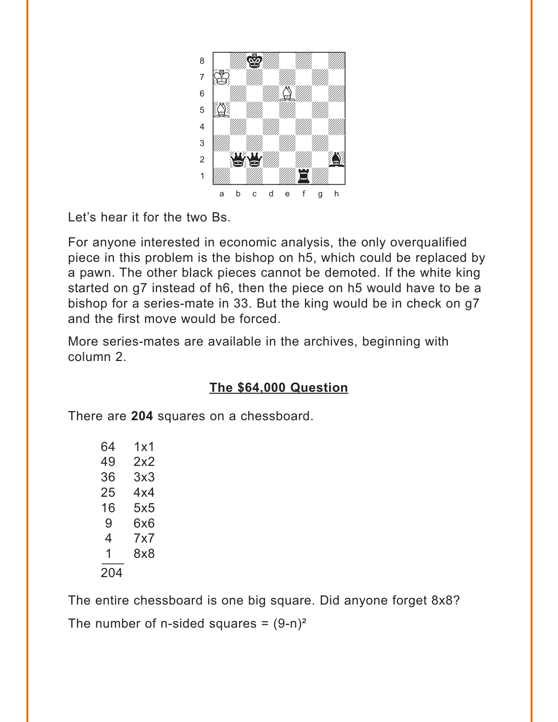<span id="page-13-0"></span>

Let's hear it for the two Bs.

For anyone interested in economic analysis, the only overqualified piece in this problem is the bishop on h5, which could be replaced by a pawn. The other black pieces cannot be demoted. If the white king started on g7 instead of h6, then the piece on h5 would have to be a bishop for a series-mate in 33. But the king would be in check on g7 and the first move would be forced.

More series-mates are available in the archives, beginning with column 2.

# **[The \\$64,000 Question](#page-5-0)**

There are **204** squares on a chessboard.

| 64  | 1x1 |
|-----|-----|
| 49  | 2x2 |
| 36  | 3x3 |
| 25  | 4x4 |
| 16  | 5x5 |
| 9   | 6x6 |
| 4   | 7x7 |
| 1   | 8x8 |
| 204 |     |

The entire chessboard is one big square. Did anyone forget 8x8? The number of n-sided squares =  $(9-n)^2$